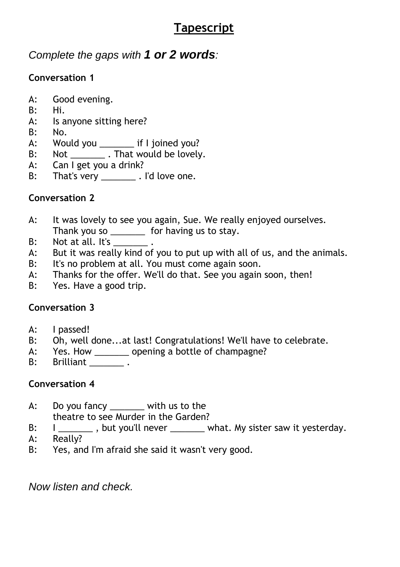# **Tapescript**

# *Complete the gaps with 1 or 2 words:*

# **Conversation 1**

- A: Good evening.
- B: Hi.
- A: Is anyone sitting here?
- B: No.
- A: Would you \_\_\_\_\_\_\_ if I joined you?
- B: Not \_\_\_\_\_\_\_\_\_. That would be lovely.
- A: Can I get you a drink?
- B: That's very \_\_\_\_\_\_\_\_\_ . I'd love one.

## **Conversation 2**

- A: It was lovely to see you again, Sue. We really enjoyed ourselves. Thank you so \_\_\_\_\_\_\_ for having us to stay.
- B: Not at all. It's \_\_\_\_\_\_\_\_.
- A: But it was really kind of you to put up with all of us, and the animals.
- B: It's no problem at all. You must come again soon.
- A: Thanks for the offer. We'll do that. See you again soon, then!
- B: Yes. Have a good trip.

## **Conversation 3**

- A: I passed!
- B: Oh, well done...at last! Congratulations! We'll have to celebrate.
- A: Yes. How \_\_\_\_\_\_\_\_ opening a bottle of champagne?
- **B:** Brilliant \_\_\_\_\_\_\_\_\_\_.

## **Conversation 4**

- A: Do you fancy \_\_\_\_\_\_\_ with us to the theatre to see Murder in the Garden?
- B:  $I \_$ , but you'll never what. My sister saw it yesterday.
- A: Really?
- B: Yes, and I'm afraid she said it wasn't very good.

*Now listen and check.*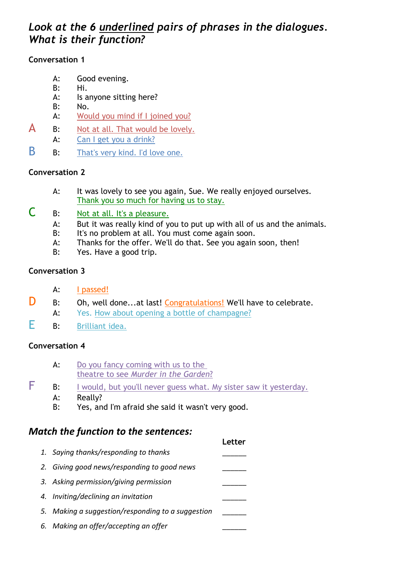### *Look at the 6 underlined pairs of phrases in the dialogues. What is their function?*

### **Conversation 1**

- A: Good evening.
- B: Hi.
- A: Is anyone sitting here?
- B: No.
- A: Would you mind if I joined you?
- $\mathsf{A}$  B: Not at all. That would be lovely.
- A: Can I get you a drink?
- B B: That's very kind. I'd love one.

### **Conversation 2**

- A: It was lovely to see you again, Sue. We really enjoyed ourselves. Thank you so much for having us to stay.
- C B: Not at all. It's a pleasure.
	- A: But it was really kind of you to put up with all of us and the animals.
	- B: It's no problem at all. You must come again soon.
	- A: Thanks for the offer. We'll do that. See you again soon, then!
	- B: Yes. Have a good trip.

### **Conversation 3**

- A: I passed!
- D B: Oh, well done...at last! Congratulations! We'll have to celebrate.
	- A: Yes. How about opening a bottle of champagne?
- E B: Brilliant idea.

#### **Conversation 4**

- A: Do you fancy coming with us to the theatre to see *Murder in the Garden*?
- **F** B: I would, but you'll never guess what. My sister saw it yesterday.
	- A: Really?
	- B: Yes, and I'm afraid she said it wasn't very good.

### *Match the function to the sentences:*

|                                                   | l etter |
|---------------------------------------------------|---------|
| 1. Saying thanks/responding to thanks             |         |
| 2. Giving good news/responding to good news       |         |
| 3. Asking permission/giving permission            |         |
| 4. Inviting/declining an invitation               |         |
| 5. Making a suggestion/responding to a suggestion |         |
| 6. Making an offer/accepting an offer             |         |